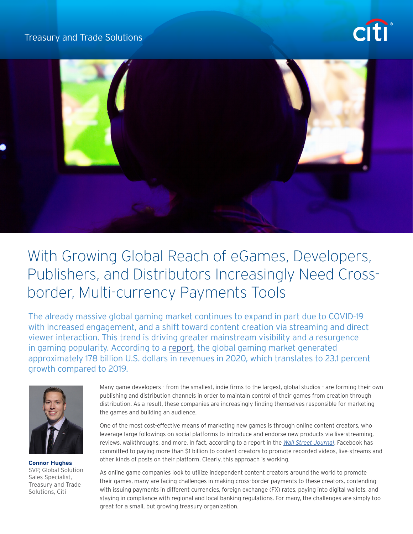## Treasury and Trade Solutions





## With Growing Global Reach of eGames, Developers, Publishers, and Distributors Increasingly Need Crossborder, Multi-currency Payments Tools

The already massive global gaming market continues to expand in part due to COVID-19 with increased engagement, and a shift toward content creation via streaming and direct viewer interaction. This trend is driving greater mainstream visibility and a resurgence in gaming popularity. According to a [report](http://newzoo.com/insights/articles/global-games-market-to-generate-175-8-billion-in-2021-despite-a-slight-decline-the-market-is-on-track-to-surpass-200-billion-in-2023/), the global gaming market generated approximately 178 billion U.S. dollars in revenues in 2020, which translates to 23.1 percent growth compared to 2019.



**Connor Hughes** SVP, Global Solution Sales Specialist, Treasury and Trade Solutions, Citi

Many game developers - from the smallest, indie firms to the largest, global studios - are forming their own publishing and distribution channels in order to maintain control of their games from creation through distribution. As a result, these companies are increasingly finding themselves responsible for marketing the games and building an audience.

One of the most cost-effective means of marketing new games is through online content creators, who leverage large followings on social platforms to introduce and endorse new products via live-streaming, reviews, walkthroughs, and more. In fact, according to a report in the *[Wall Street Journal](http://www.wsj.com/articles/facebook-to-pay-content-creators-more-than-1-billion-through-2022-11626292301)*, Facebook has committed to paying more than \$1 billion to content creators to promote recorded videos, live-streams and other kinds of posts on their platform. Clearly, this approach is working.

As online game companies look to utilize independent content creators around the world to promote their games, many are facing challenges in making cross-border payments to these creators, contending with issuing payments in different currencies, foreign exchange (FX) rates, paying into digital wallets, and staying in compliance with regional and local banking regulations. For many, the challenges are simply too great for a small, but growing treasury organization.